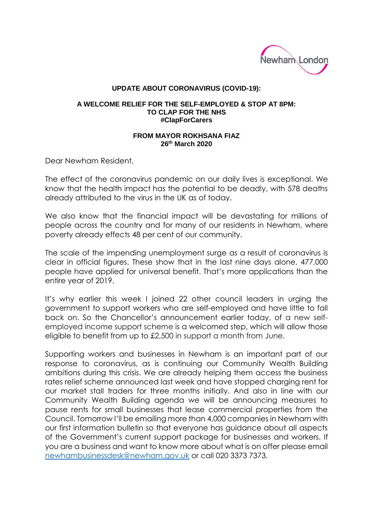

## **UPDATE ABOUT CORONAVIRUS (COVID-19):**

## **A WELCOME RELIEF FOR THE SELF-EMPLOYED & STOP AT 8PM: TO CLAP FOR THE NHS #ClapForCarers**

## **FROM MAYOR ROKHSANA FIAZ 26 th March 2020**

Dear Newham Resident,

The effect of the coronavirus pandemic on our daily lives is exceptional. We know that the health impact has the potential to be deadly, with 578 deaths already attributed to the virus in the UK as of today.

We also know that the financial impact will be devastating for millions of people across the country and for many of our residents in Newham, where poverty already effects 48 per cent of our community.

The scale of the impending unemployment surge as a result of coronavirus is clear in official figures. These show that in the last nine days alone, 477,000 people have applied for universal benefit. That's more applications than the entire year of 2019.

It's why earlier this week I joined 22 other council leaders in urging the government to support workers who are self-employed and have little to fall back on. So the Chancellor's announcement earlier today, of a new selfemployed income support scheme is a welcomed step, which will allow those eligible to benefit from up to £2,500 in support a month from June.

Supporting workers and businesses in Newham is an important part of our response to coronavirus, as is continuing our Community Wealth Building ambitions during this crisis. We are already helping them access the business rates relief scheme announced last week and have stopped charging rent for our market stall traders for three months initially. And also in line with our Community Wealth Building agenda we will be announcing measures to pause rents for small businesses that lease commercial properties from the Council. Tomorrow I'll be emailing more than 4,000 companies in Newham with our first information bulletin so that everyone has guidance about all aspects of the Government's current support package for businesses and workers. If you are a business and want to know more about what is on offer please email [newhambusinessdesk@newham.gov.uk](mailto:newhambusinessdesk@newham.gov.uk) or call 020 3373 7373.